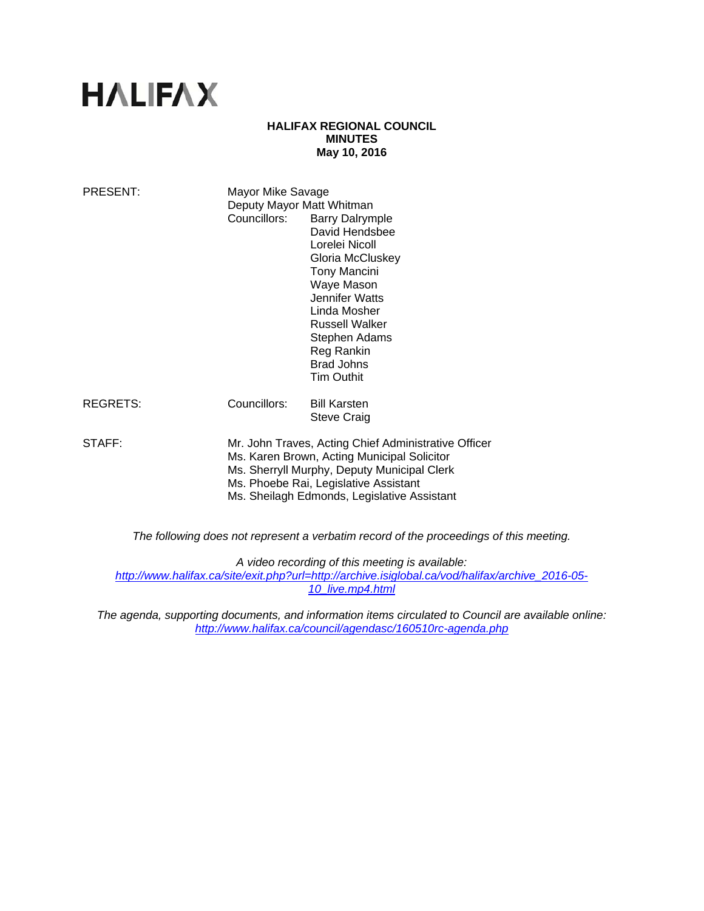# **HALIFAX**

## **HALIFAX REGIONAL COUNCIL MINUTES May 10, 2016**

| PRESENT: | Mayor Mike Savage<br>Deputy Mayor Matt Whitman<br>Councillors:                                                                                                                                                                             | <b>Barry Dalrymple</b><br>David Hendsbee<br>Lorelei Nicoll<br>Gloria McCluskey<br><b>Tony Mancini</b><br>Waye Mason<br>Jennifer Watts<br>Linda Mosher<br>Russell Walker<br>Stephen Adams<br>Reg Rankin<br><b>Brad Johns</b><br><b>Tim Outhit</b> |
|----------|--------------------------------------------------------------------------------------------------------------------------------------------------------------------------------------------------------------------------------------------|--------------------------------------------------------------------------------------------------------------------------------------------------------------------------------------------------------------------------------------------------|
| REGRETS: | Councillors:                                                                                                                                                                                                                               | <b>Bill Karsten</b><br><b>Steve Craig</b>                                                                                                                                                                                                        |
| STAFF:   | Mr. John Traves, Acting Chief Administrative Officer<br>Ms. Karen Brown, Acting Municipal Solicitor<br>Ms. Sherryll Murphy, Deputy Municipal Clerk<br>Ms. Phoebe Rai, Legislative Assistant<br>Ms. Sheilagh Edmonds, Legislative Assistant |                                                                                                                                                                                                                                                  |
|          |                                                                                                                                                                                                                                            | The fellowing deep not represent a verbetim reserve of the presentings of this me                                                                                                                                                                |

*The following does not represent a verbatim record of the proceedings of this meeting.* 

*A video recording of this meeting is available: http://www.halifax.ca/site/exit.php?url=http://archive.isiglobal.ca/vod/halifax/archive\_2016-05- 10\_live.mp4.html*

*The agenda, supporting documents, and information items circulated to Council are available online: http://www.halifax.ca/council/agendasc/160510rc-agenda.php*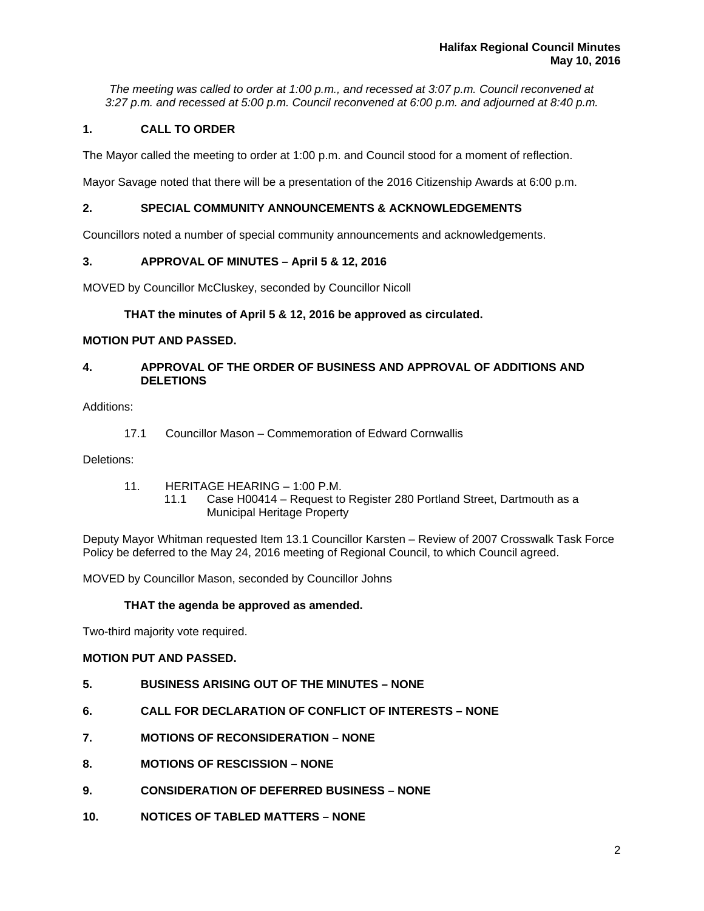*The meeting was called to order at 1:00 p.m., and recessed at 3:07 p.m. Council reconvened at 3:27 p.m. and recessed at 5:00 p.m. Council reconvened at 6:00 p.m. and adjourned at 8:40 p.m.*

# **1. CALL TO ORDER**

The Mayor called the meeting to order at 1:00 p.m. and Council stood for a moment of reflection.

Mayor Savage noted that there will be a presentation of the 2016 Citizenship Awards at 6:00 p.m.

# **2. SPECIAL COMMUNITY ANNOUNCEMENTS & ACKNOWLEDGEMENTS**

Councillors noted a number of special community announcements and acknowledgements.

# **3. APPROVAL OF MINUTES – April 5 & 12, 2016**

MOVED by Councillor McCluskey, seconded by Councillor Nicoll

# **THAT the minutes of April 5 & 12, 2016 be approved as circulated.**

# **MOTION PUT AND PASSED.**

# **4. APPROVAL OF THE ORDER OF BUSINESS AND APPROVAL OF ADDITIONS AND DELETIONS**

Additions:

17.1 Councillor Mason – Commemoration of Edward Cornwallis

Deletions:

- 11. HERITAGE HEARING 1:00 P.M.
	- 11.1 Case H00414 Request to Register 280 Portland Street, Dartmouth as a Municipal Heritage Property

Deputy Mayor Whitman requested Item 13.1 Councillor Karsten – Review of 2007 Crosswalk Task Force Policy be deferred to the May 24, 2016 meeting of Regional Council, to which Council agreed.

MOVED by Councillor Mason, seconded by Councillor Johns

## **THAT the agenda be approved as amended.**

Two-third majority vote required.

# **MOTION PUT AND PASSED.**

- **5. BUSINESS ARISING OUT OF THE MINUTES NONE**
- **6. CALL FOR DECLARATION OF CONFLICT OF INTERESTS NONE**
- **7. MOTIONS OF RECONSIDERATION NONE**
- **8. MOTIONS OF RESCISSION NONE**
- **9. CONSIDERATION OF DEFERRED BUSINESS NONE**
- **10. NOTICES OF TABLED MATTERS NONE**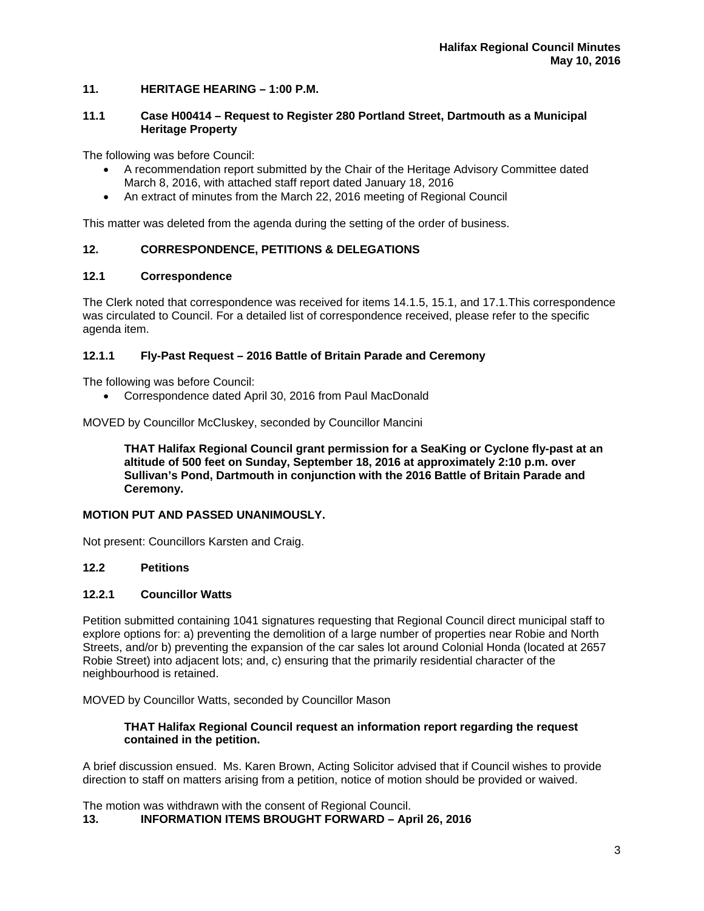# **11. HERITAGE HEARING – 1:00 P.M.**

## **11.1 Case H00414 – Request to Register 280 Portland Street, Dartmouth as a Municipal Heritage Property**

The following was before Council:

- A recommendation report submitted by the Chair of the Heritage Advisory Committee dated March 8, 2016, with attached staff report dated January 18, 2016
- An extract of minutes from the March 22, 2016 meeting of Regional Council

This matter was deleted from the agenda during the setting of the order of business.

# **12. CORRESPONDENCE, PETITIONS & DELEGATIONS**

## **12.1 Correspondence**

The Clerk noted that correspondence was received for items 14.1.5, 15.1, and 17.1.This correspondence was circulated to Council. For a detailed list of correspondence received, please refer to the specific agenda item.

## **12.1.1 Fly-Past Request – 2016 Battle of Britain Parade and Ceremony**

The following was before Council:

Correspondence dated April 30, 2016 from Paul MacDonald

MOVED by Councillor McCluskey, seconded by Councillor Mancini

**THAT Halifax Regional Council grant permission for a SeaKing or Cyclone fly-past at an altitude of 500 feet on Sunday, September 18, 2016 at approximately 2:10 p.m. over Sullivan's Pond, Dartmouth in conjunction with the 2016 Battle of Britain Parade and Ceremony.** 

## **MOTION PUT AND PASSED UNANIMOUSLY.**

Not present: Councillors Karsten and Craig.

## **12.2 Petitions**

## **12.2.1 Councillor Watts**

Petition submitted containing 1041 signatures requesting that Regional Council direct municipal staff to explore options for: a) preventing the demolition of a large number of properties near Robie and North Streets, and/or b) preventing the expansion of the car sales lot around Colonial Honda (located at 2657 Robie Street) into adjacent lots; and, c) ensuring that the primarily residential character of the neighbourhood is retained.

MOVED by Councillor Watts, seconded by Councillor Mason

## **THAT Halifax Regional Council request an information report regarding the request contained in the petition.**

A brief discussion ensued. Ms. Karen Brown, Acting Solicitor advised that if Council wishes to provide direction to staff on matters arising from a petition, notice of motion should be provided or waived.

The motion was withdrawn with the consent of Regional Council. **13. INFORMATION ITEMS BROUGHT FORWARD – April 26, 2016**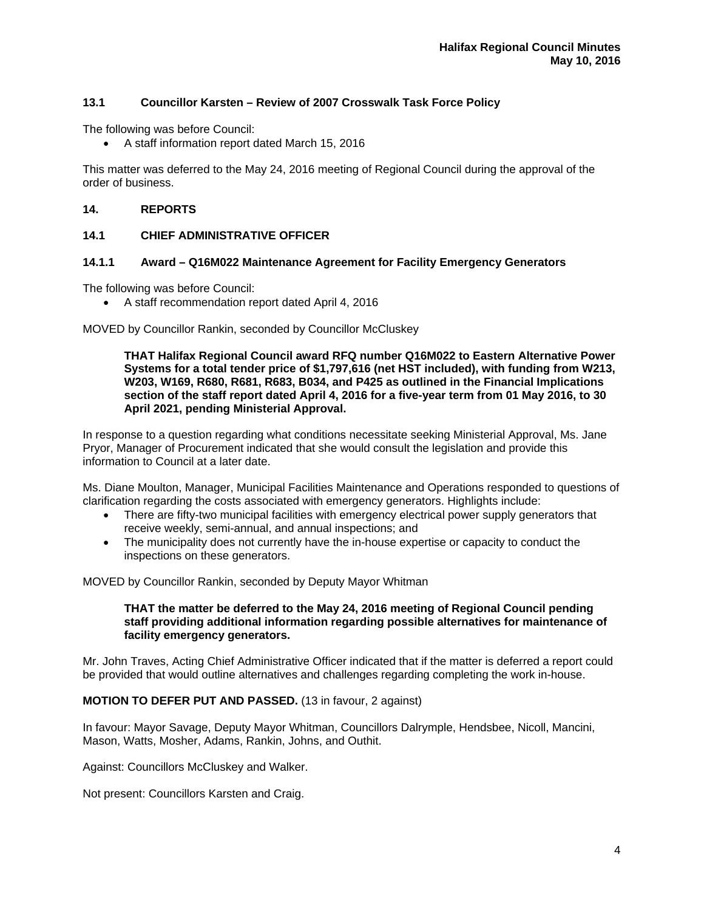# **13.1 Councillor Karsten – Review of 2007 Crosswalk Task Force Policy**

The following was before Council:

A staff information report dated March 15, 2016

This matter was deferred to the May 24, 2016 meeting of Regional Council during the approval of the order of business.

## **14. REPORTS**

# **14.1 CHIEF ADMINISTRATIVE OFFICER**

# **14.1.1 Award – Q16M022 Maintenance Agreement for Facility Emergency Generators**

The following was before Council:

A staff recommendation report dated April 4, 2016

MOVED by Councillor Rankin, seconded by Councillor McCluskey

**THAT Halifax Regional Council award RFQ number Q16M022 to Eastern Alternative Power Systems for a total tender price of \$1,797,616 (net HST included), with funding from W213, W203, W169, R680, R681, R683, B034, and P425 as outlined in the Financial Implications section of the staff report dated April 4, 2016 for a five-year term from 01 May 2016, to 30 April 2021, pending Ministerial Approval.** 

In response to a question regarding what conditions necessitate seeking Ministerial Approval, Ms. Jane Pryor, Manager of Procurement indicated that she would consult the legislation and provide this information to Council at a later date.

Ms. Diane Moulton, Manager, Municipal Facilities Maintenance and Operations responded to questions of clarification regarding the costs associated with emergency generators. Highlights include:

- There are fifty-two municipal facilities with emergency electrical power supply generators that receive weekly, semi-annual, and annual inspections; and
- The municipality does not currently have the in-house expertise or capacity to conduct the inspections on these generators.

MOVED by Councillor Rankin, seconded by Deputy Mayor Whitman

# **THAT the matter be deferred to the May 24, 2016 meeting of Regional Council pending staff providing additional information regarding possible alternatives for maintenance of facility emergency generators.**

Mr. John Traves, Acting Chief Administrative Officer indicated that if the matter is deferred a report could be provided that would outline alternatives and challenges regarding completing the work in-house.

## **MOTION TO DEFER PUT AND PASSED.** (13 in favour, 2 against)

In favour: Mayor Savage, Deputy Mayor Whitman, Councillors Dalrymple, Hendsbee, Nicoll, Mancini, Mason, Watts, Mosher, Adams, Rankin, Johns, and Outhit.

Against: Councillors McCluskey and Walker.

Not present: Councillors Karsten and Craig.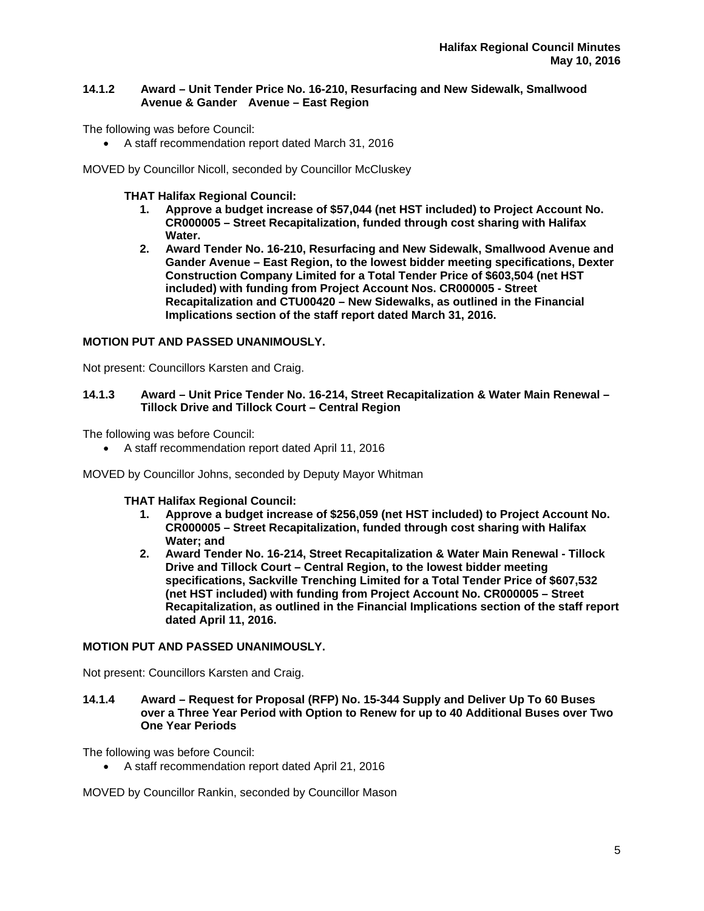# **14.1.2 Award – Unit Tender Price No. 16-210, Resurfacing and New Sidewalk, Smallwood Avenue & Gander Avenue – East Region**

The following was before Council:

A staff recommendation report dated March 31, 2016

MOVED by Councillor Nicoll, seconded by Councillor McCluskey

**THAT Halifax Regional Council:** 

- **1. Approve a budget increase of \$57,044 (net HST included) to Project Account No. CR000005 – Street Recapitalization, funded through cost sharing with Halifax Water.**
- **2. Award Tender No. 16-210, Resurfacing and New Sidewalk, Smallwood Avenue and Gander Avenue – East Region, to the lowest bidder meeting specifications, Dexter Construction Company Limited for a Total Tender Price of \$603,504 (net HST included) with funding from Project Account Nos. CR000005 - Street Recapitalization and CTU00420 – New Sidewalks, as outlined in the Financial Implications section of the staff report dated March 31, 2016.**

# **MOTION PUT AND PASSED UNANIMOUSLY.**

Not present: Councillors Karsten and Craig.

## **14.1.3 Award – Unit Price Tender No. 16-214, Street Recapitalization & Water Main Renewal – Tillock Drive and Tillock Court – Central Region**

The following was before Council:

A staff recommendation report dated April 11, 2016

MOVED by Councillor Johns, seconded by Deputy Mayor Whitman

**THAT Halifax Regional Council:** 

- **1. Approve a budget increase of \$256,059 (net HST included) to Project Account No. CR000005 – Street Recapitalization, funded through cost sharing with Halifax Water; and**
- **2. Award Tender No. 16-214, Street Recapitalization & Water Main Renewal Tillock Drive and Tillock Court – Central Region, to the lowest bidder meeting specifications, Sackville Trenching Limited for a Total Tender Price of \$607,532 (net HST included) with funding from Project Account No. CR000005 – Street Recapitalization, as outlined in the Financial Implications section of the staff report dated April 11, 2016.**

## **MOTION PUT AND PASSED UNANIMOUSLY.**

Not present: Councillors Karsten and Craig.

**14.1.4 Award – Request for Proposal (RFP) No. 15-344 Supply and Deliver Up To 60 Buses over a Three Year Period with Option to Renew for up to 40 Additional Buses over Two One Year Periods** 

The following was before Council:

A staff recommendation report dated April 21, 2016

MOVED by Councillor Rankin, seconded by Councillor Mason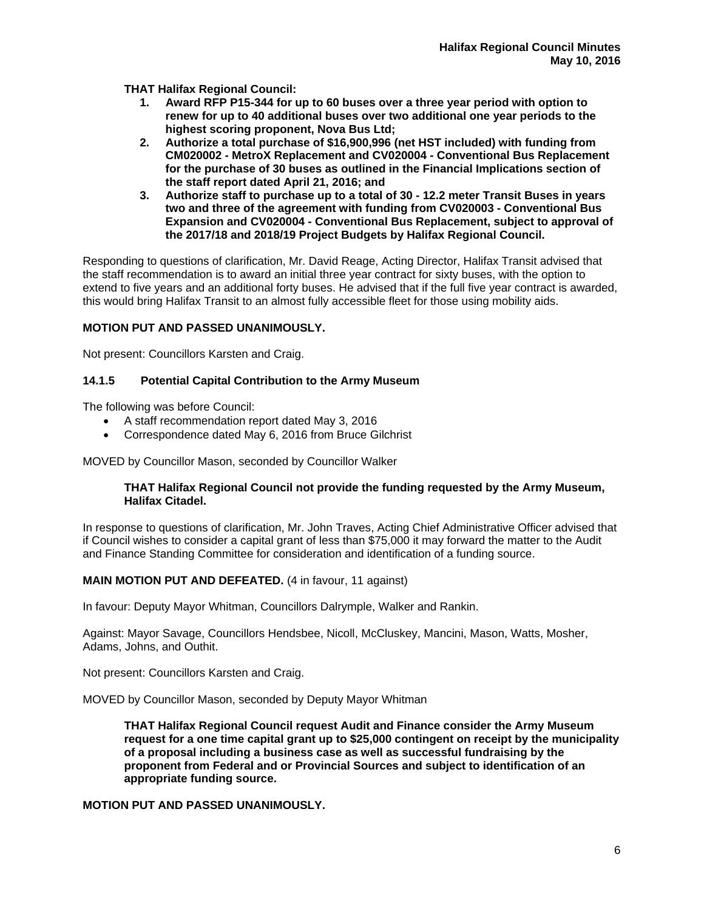**THAT Halifax Regional Council:** 

- **1. Award RFP P15-344 for up to 60 buses over a three year period with option to renew for up to 40 additional buses over two additional one year periods to the highest scoring proponent, Nova Bus Ltd;**
- **2. Authorize a total purchase of \$16,900,996 (net HST included) with funding from CM020002 - MetroX Replacement and CV020004 - Conventional Bus Replacement for the purchase of 30 buses as outlined in the Financial Implications section of the staff report dated April 21, 2016; and**
- **3. Authorize staff to purchase up to a total of 30 12.2 meter Transit Buses in years two and three of the agreement with funding from CV020003 - Conventional Bus Expansion and CV020004 - Conventional Bus Replacement, subject to approval of the 2017/18 and 2018/19 Project Budgets by Halifax Regional Council.**

Responding to questions of clarification, Mr. David Reage, Acting Director, Halifax Transit advised that the staff recommendation is to award an initial three year contract for sixty buses, with the option to extend to five years and an additional forty buses. He advised that if the full five year contract is awarded, this would bring Halifax Transit to an almost fully accessible fleet for those using mobility aids.

# **MOTION PUT AND PASSED UNANIMOUSLY.**

Not present: Councillors Karsten and Craig.

# **14.1.5 Potential Capital Contribution to the Army Museum**

The following was before Council:

- A staff recommendation report dated May 3, 2016
- Correspondence dated May 6, 2016 from Bruce Gilchrist

MOVED by Councillor Mason, seconded by Councillor Walker

# **THAT Halifax Regional Council not provide the funding requested by the Army Museum, Halifax Citadel.**

In response to questions of clarification, Mr. John Traves, Acting Chief Administrative Officer advised that if Council wishes to consider a capital grant of less than \$75,000 it may forward the matter to the Audit and Finance Standing Committee for consideration and identification of a funding source.

# **MAIN MOTION PUT AND DEFEATED.** (4 in favour, 11 against)

In favour: Deputy Mayor Whitman, Councillors Dalrymple, Walker and Rankin.

Against: Mayor Savage, Councillors Hendsbee, Nicoll, McCluskey, Mancini, Mason, Watts, Mosher, Adams, Johns, and Outhit.

Not present: Councillors Karsten and Craig.

MOVED by Councillor Mason, seconded by Deputy Mayor Whitman

**THAT Halifax Regional Council request Audit and Finance consider the Army Museum request for a one time capital grant up to \$25,000 contingent on receipt by the municipality of a proposal including a business case as well as successful fundraising by the proponent from Federal and or Provincial Sources and subject to identification of an appropriate funding source.** 

## **MOTION PUT AND PASSED UNANIMOUSLY.**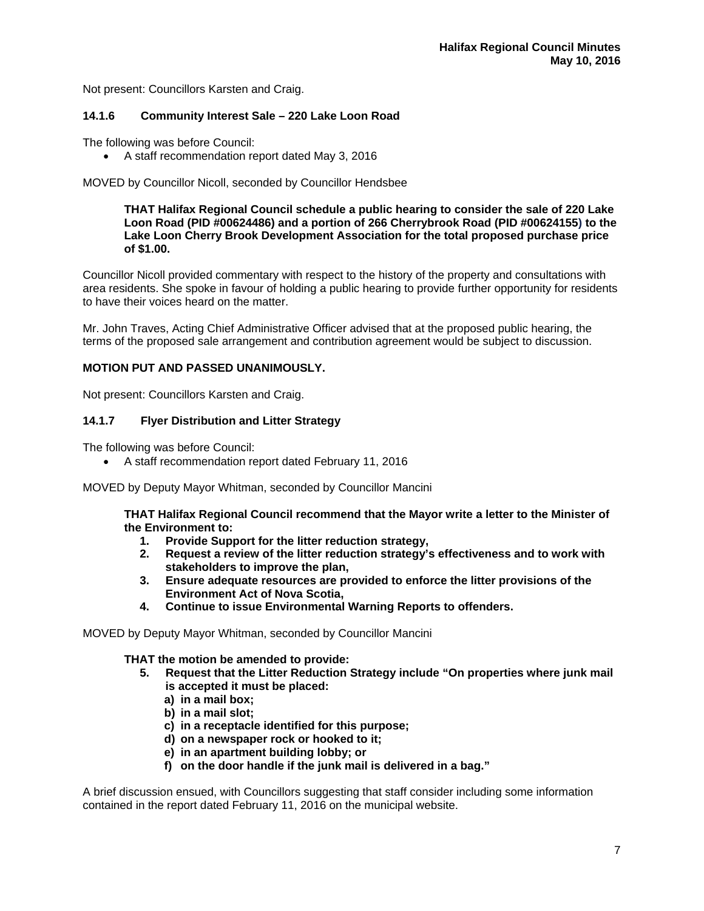Not present: Councillors Karsten and Craig.

## **14.1.6 Community Interest Sale – 220 Lake Loon Road**

The following was before Council:

A staff recommendation report dated May 3, 2016

MOVED by Councillor Nicoll, seconded by Councillor Hendsbee

**THAT Halifax Regional Council schedule a public hearing to consider the sale of 220 Lake Loon Road (PID #00624486) and a portion of 266 Cherrybrook Road (PID #00624155) to the Lake Loon Cherry Brook Development Association for the total proposed purchase price of \$1.00.** 

Councillor Nicoll provided commentary with respect to the history of the property and consultations with area residents. She spoke in favour of holding a public hearing to provide further opportunity for residents to have their voices heard on the matter.

Mr. John Traves, Acting Chief Administrative Officer advised that at the proposed public hearing, the terms of the proposed sale arrangement and contribution agreement would be subject to discussion.

# **MOTION PUT AND PASSED UNANIMOUSLY.**

Not present: Councillors Karsten and Craig.

# **14.1.7 Flyer Distribution and Litter Strategy**

The following was before Council:

A staff recommendation report dated February 11, 2016

MOVED by Deputy Mayor Whitman, seconded by Councillor Mancini

**THAT Halifax Regional Council recommend that the Mayor write a letter to the Minister of the Environment to:** 

- **1. Provide Support for the litter reduction strategy,**
- **2. Request a review of the litter reduction strategy's effectiveness and to work with stakeholders to improve the plan,**
- **3. Ensure adequate resources are provided to enforce the litter provisions of the Environment Act of Nova Scotia,**
- **4. Continue to issue Environmental Warning Reports to offenders.**

MOVED by Deputy Mayor Whitman, seconded by Councillor Mancini

**THAT the motion be amended to provide:** 

- **5. Request that the Litter Reduction Strategy include "On properties where junk mail is accepted it must be placed:** 
	- **a) in a mail box;**
	- **b) in a mail slot;**
	- **c) in a receptacle identified for this purpose;**
	- **d) on a newspaper rock or hooked to it;**
	- **e) in an apartment building lobby; or**
	- **f) on the door handle if the junk mail is delivered in a bag."**

A brief discussion ensued, with Councillors suggesting that staff consider including some information contained in the report dated February 11, 2016 on the municipal website.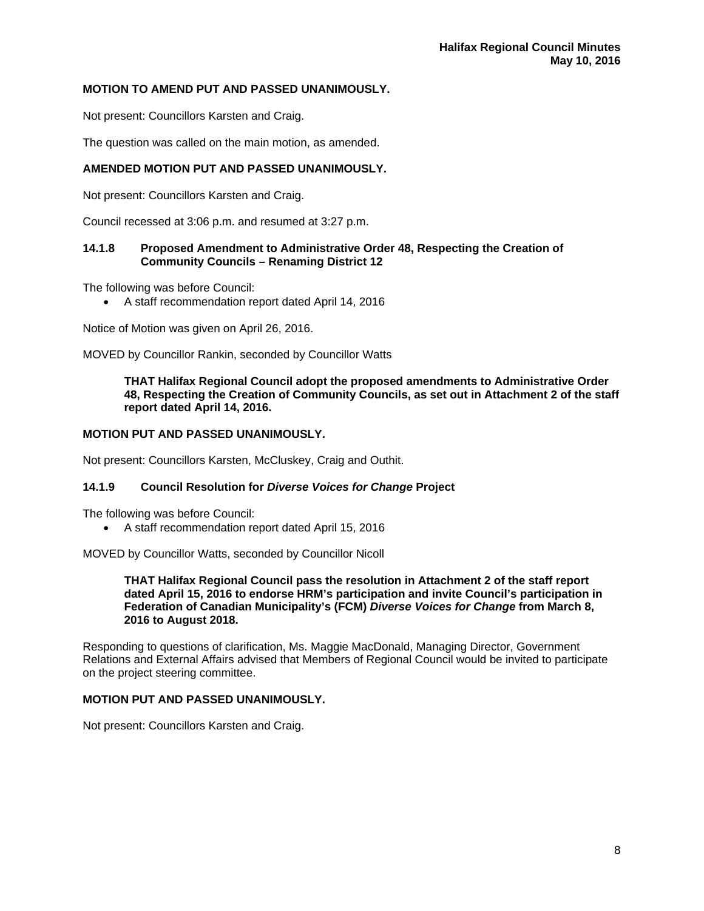# **MOTION TO AMEND PUT AND PASSED UNANIMOUSLY.**

Not present: Councillors Karsten and Craig.

The question was called on the main motion, as amended.

# **AMENDED MOTION PUT AND PASSED UNANIMOUSLY.**

Not present: Councillors Karsten and Craig.

Council recessed at 3:06 p.m. and resumed at 3:27 p.m.

# **14.1.8 Proposed Amendment to Administrative Order 48, Respecting the Creation of Community Councils – Renaming District 12**

The following was before Council:

A staff recommendation report dated April 14, 2016

Notice of Motion was given on April 26, 2016.

MOVED by Councillor Rankin, seconded by Councillor Watts

#### **THAT Halifax Regional Council adopt the proposed amendments to Administrative Order 48, Respecting the Creation of Community Councils, as set out in Attachment 2 of the staff report dated April 14, 2016.**

## **MOTION PUT AND PASSED UNANIMOUSLY.**

Not present: Councillors Karsten, McCluskey, Craig and Outhit.

# **14.1.9 Council Resolution for** *Diverse Voices for Change* **Project**

The following was before Council:

A staff recommendation report dated April 15, 2016

MOVED by Councillor Watts, seconded by Councillor Nicoll

**THAT Halifax Regional Council pass the resolution in Attachment 2 of the staff report dated April 15, 2016 to endorse HRM's participation and invite Council's participation in Federation of Canadian Municipality's (FCM)** *Diverse Voices for Change* **from March 8, 2016 to August 2018.** 

Responding to questions of clarification, Ms. Maggie MacDonald, Managing Director, Government Relations and External Affairs advised that Members of Regional Council would be invited to participate on the project steering committee.

## **MOTION PUT AND PASSED UNANIMOUSLY.**

Not present: Councillors Karsten and Craig.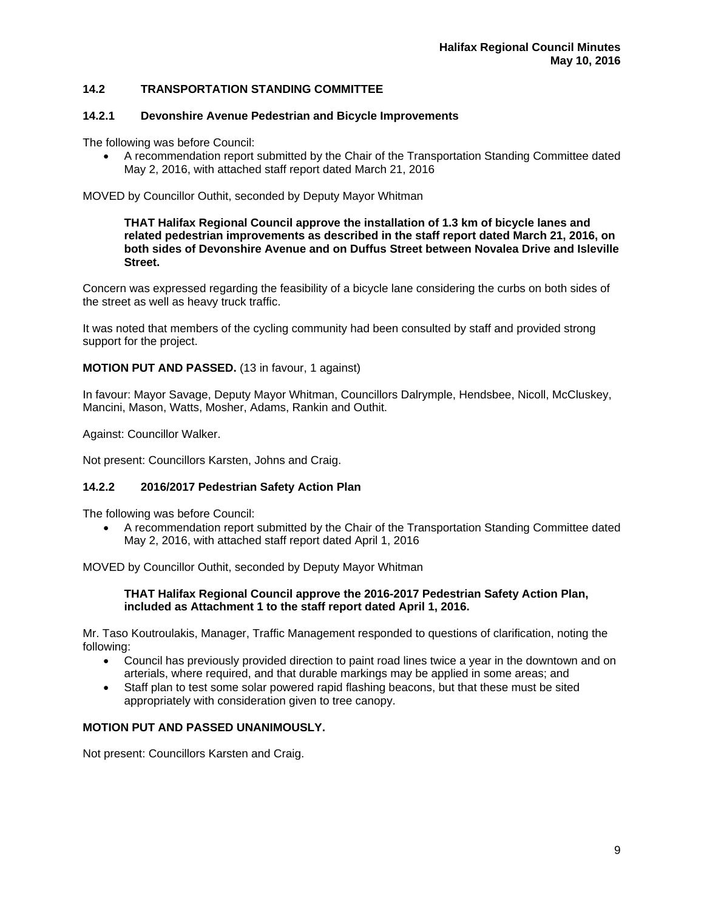# **14.2 TRANSPORTATION STANDING COMMITTEE**

# **14.2.1 Devonshire Avenue Pedestrian and Bicycle Improvements**

The following was before Council:

 A recommendation report submitted by the Chair of the Transportation Standing Committee dated May 2, 2016, with attached staff report dated March 21, 2016

MOVED by Councillor Outhit, seconded by Deputy Mayor Whitman

**THAT Halifax Regional Council approve the installation of 1.3 km of bicycle lanes and related pedestrian improvements as described in the staff report dated March 21, 2016, on both sides of Devonshire Avenue and on Duffus Street between Novalea Drive and Isleville Street.** 

Concern was expressed regarding the feasibility of a bicycle lane considering the curbs on both sides of the street as well as heavy truck traffic.

It was noted that members of the cycling community had been consulted by staff and provided strong support for the project.

# **MOTION PUT AND PASSED.** (13 in favour, 1 against)

In favour: Mayor Savage, Deputy Mayor Whitman, Councillors Dalrymple, Hendsbee, Nicoll, McCluskey, Mancini, Mason, Watts, Mosher, Adams, Rankin and Outhit.

Against: Councillor Walker.

Not present: Councillors Karsten, Johns and Craig.

# **14.2.2 2016/2017 Pedestrian Safety Action Plan**

The following was before Council:

 A recommendation report submitted by the Chair of the Transportation Standing Committee dated May 2, 2016, with attached staff report dated April 1, 2016

MOVED by Councillor Outhit, seconded by Deputy Mayor Whitman

## **THAT Halifax Regional Council approve the 2016-2017 Pedestrian Safety Action Plan, included as Attachment 1 to the staff report dated April 1, 2016.**

Mr. Taso Koutroulakis, Manager, Traffic Management responded to questions of clarification, noting the following:

- Council has previously provided direction to paint road lines twice a year in the downtown and on arterials, where required, and that durable markings may be applied in some areas; and
- Staff plan to test some solar powered rapid flashing beacons, but that these must be sited appropriately with consideration given to tree canopy.

# **MOTION PUT AND PASSED UNANIMOUSLY.**

Not present: Councillors Karsten and Craig.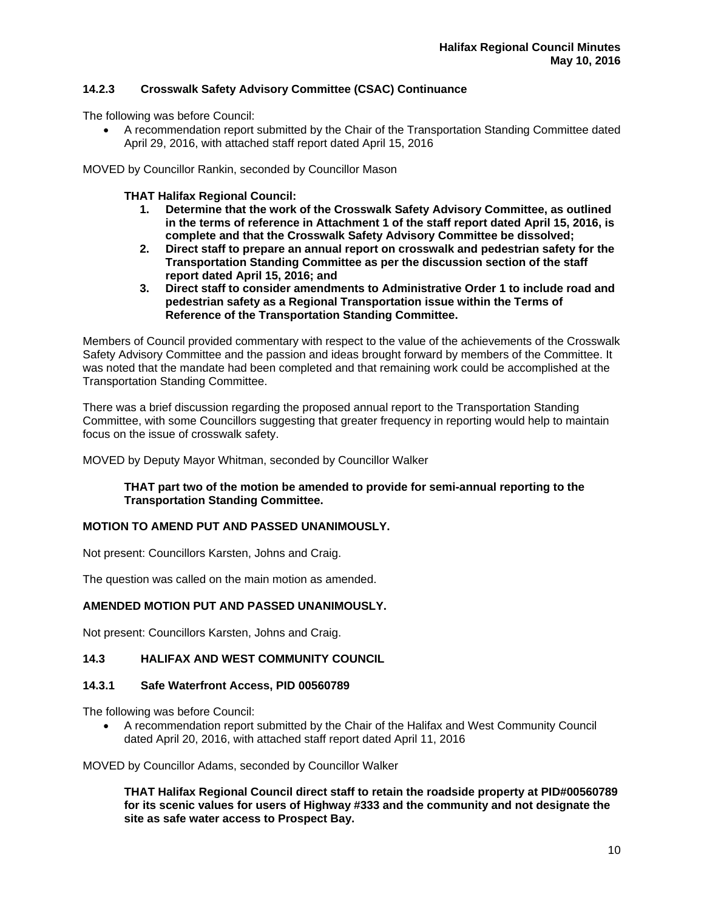# **14.2.3 Crosswalk Safety Advisory Committee (CSAC) Continuance**

The following was before Council:

 A recommendation report submitted by the Chair of the Transportation Standing Committee dated April 29, 2016, with attached staff report dated April 15, 2016

MOVED by Councillor Rankin, seconded by Councillor Mason

**THAT Halifax Regional Council:** 

- **1. Determine that the work of the Crosswalk Safety Advisory Committee, as outlined in the terms of reference in Attachment 1 of the staff report dated April 15, 2016, is complete and that the Crosswalk Safety Advisory Committee be dissolved;**
- **2. Direct staff to prepare an annual report on crosswalk and pedestrian safety for the Transportation Standing Committee as per the discussion section of the staff report dated April 15, 2016; and**
- **3. Direct staff to consider amendments to Administrative Order 1 to include road and pedestrian safety as a Regional Transportation issue within the Terms of Reference of the Transportation Standing Committee.**

Members of Council provided commentary with respect to the value of the achievements of the Crosswalk Safety Advisory Committee and the passion and ideas brought forward by members of the Committee. It was noted that the mandate had been completed and that remaining work could be accomplished at the Transportation Standing Committee.

There was a brief discussion regarding the proposed annual report to the Transportation Standing Committee, with some Councillors suggesting that greater frequency in reporting would help to maintain focus on the issue of crosswalk safety.

MOVED by Deputy Mayor Whitman, seconded by Councillor Walker

# **THAT part two of the motion be amended to provide for semi-annual reporting to the Transportation Standing Committee.**

# **MOTION TO AMEND PUT AND PASSED UNANIMOUSLY.**

Not present: Councillors Karsten, Johns and Craig.

The question was called on the main motion as amended.

# **AMENDED MOTION PUT AND PASSED UNANIMOUSLY.**

Not present: Councillors Karsten, Johns and Craig.

# **14.3 HALIFAX AND WEST COMMUNITY COUNCIL**

## **14.3.1 Safe Waterfront Access, PID 00560789**

The following was before Council:

 A recommendation report submitted by the Chair of the Halifax and West Community Council dated April 20, 2016, with attached staff report dated April 11, 2016

MOVED by Councillor Adams, seconded by Councillor Walker

**THAT Halifax Regional Council direct staff to retain the roadside property at PID#00560789 for its scenic values for users of Highway #333 and the community and not designate the site as safe water access to Prospect Bay.**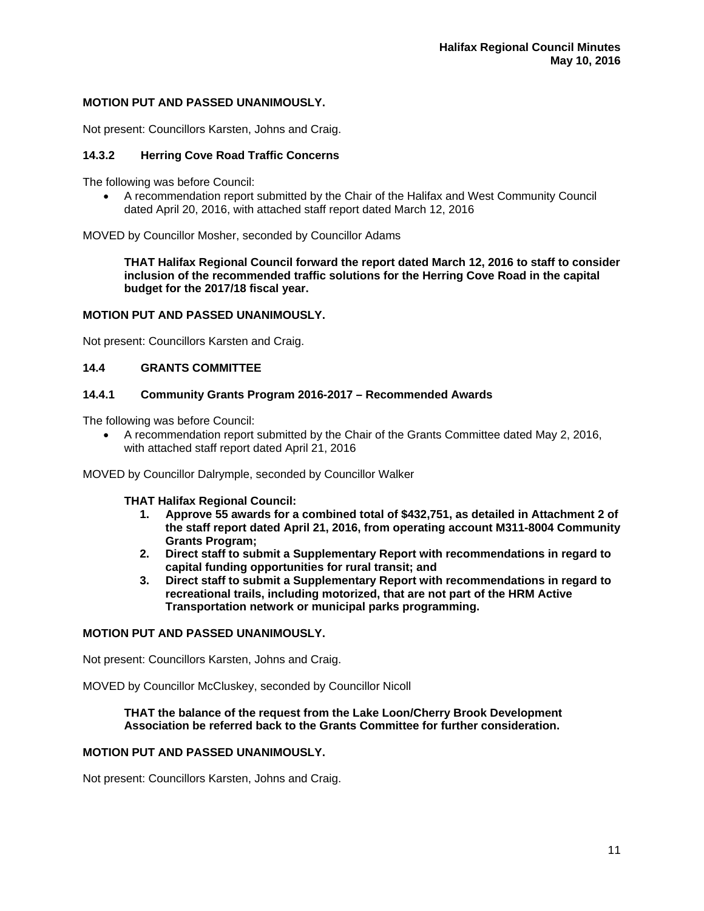## **MOTION PUT AND PASSED UNANIMOUSLY.**

Not present: Councillors Karsten, Johns and Craig.

## **14.3.2 Herring Cove Road Traffic Concerns**

The following was before Council:

 A recommendation report submitted by the Chair of the Halifax and West Community Council dated April 20, 2016, with attached staff report dated March 12, 2016

MOVED by Councillor Mosher, seconded by Councillor Adams

**THAT Halifax Regional Council forward the report dated March 12, 2016 to staff to consider inclusion of the recommended traffic solutions for the Herring Cove Road in the capital budget for the 2017/18 fiscal year.** 

#### **MOTION PUT AND PASSED UNANIMOUSLY.**

Not present: Councillors Karsten and Craig.

## **14.4 GRANTS COMMITTEE**

# **14.4.1 Community Grants Program 2016-2017 – Recommended Awards**

The following was before Council:

 A recommendation report submitted by the Chair of the Grants Committee dated May 2, 2016, with attached staff report dated April 21, 2016

MOVED by Councillor Dalrymple, seconded by Councillor Walker

#### **THAT Halifax Regional Council:**

- **1. Approve 55 awards for a combined total of \$432,751, as detailed in Attachment 2 of the staff report dated April 21, 2016, from operating account M311-8004 Community Grants Program;**
- **2. Direct staff to submit a Supplementary Report with recommendations in regard to capital funding opportunities for rural transit; and**
- **3. Direct staff to submit a Supplementary Report with recommendations in regard to recreational trails, including motorized, that are not part of the HRM Active Transportation network or municipal parks programming.**

## **MOTION PUT AND PASSED UNANIMOUSLY.**

Not present: Councillors Karsten, Johns and Craig.

MOVED by Councillor McCluskey, seconded by Councillor Nicoll

## **THAT the balance of the request from the Lake Loon/Cherry Brook Development Association be referred back to the Grants Committee for further consideration.**

# **MOTION PUT AND PASSED UNANIMOUSLY.**

Not present: Councillors Karsten, Johns and Craig.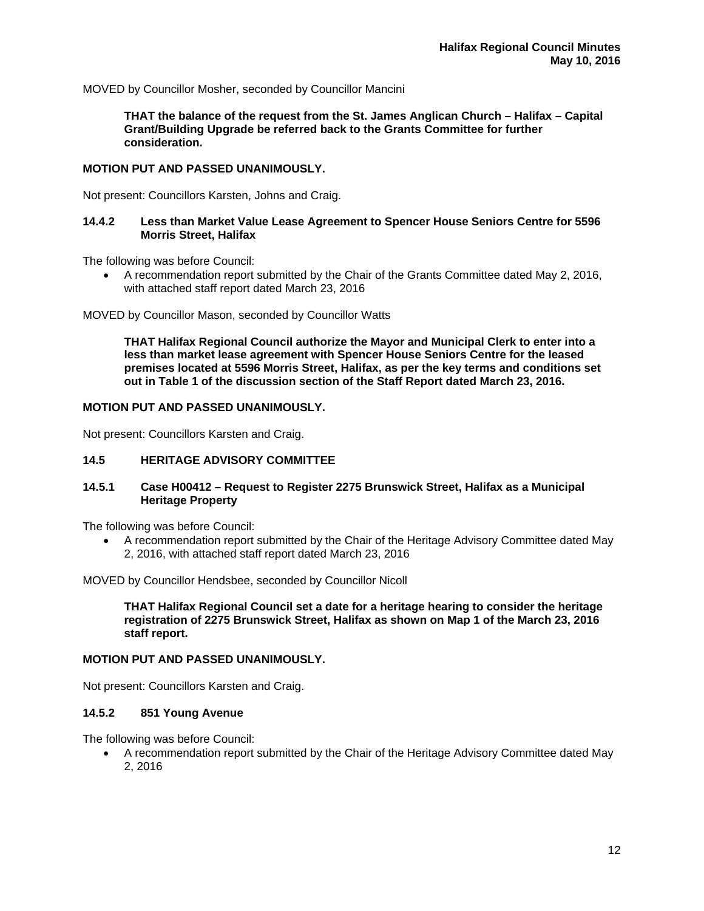MOVED by Councillor Mosher, seconded by Councillor Mancini

**THAT the balance of the request from the St. James Anglican Church – Halifax – Capital Grant/Building Upgrade be referred back to the Grants Committee for further consideration.** 

## **MOTION PUT AND PASSED UNANIMOUSLY.**

Not present: Councillors Karsten, Johns and Craig.

## **14.4.2 Less than Market Value Lease Agreement to Spencer House Seniors Centre for 5596 Morris Street, Halifax**

The following was before Council:

 A recommendation report submitted by the Chair of the Grants Committee dated May 2, 2016, with attached staff report dated March 23, 2016

MOVED by Councillor Mason, seconded by Councillor Watts

**THAT Halifax Regional Council authorize the Mayor and Municipal Clerk to enter into a less than market lease agreement with Spencer House Seniors Centre for the leased premises located at 5596 Morris Street, Halifax, as per the key terms and conditions set out in Table 1 of the discussion section of the Staff Report dated March 23, 2016.** 

## **MOTION PUT AND PASSED UNANIMOUSLY.**

Not present: Councillors Karsten and Craig.

## **14.5 HERITAGE ADVISORY COMMITTEE**

# **14.5.1 Case H00412 – Request to Register 2275 Brunswick Street, Halifax as a Municipal Heritage Property**

The following was before Council:

 A recommendation report submitted by the Chair of the Heritage Advisory Committee dated May 2, 2016, with attached staff report dated March 23, 2016

MOVED by Councillor Hendsbee, seconded by Councillor Nicoll

**THAT Halifax Regional Council set a date for a heritage hearing to consider the heritage registration of 2275 Brunswick Street, Halifax as shown on Map 1 of the March 23, 2016 staff report.** 

## **MOTION PUT AND PASSED UNANIMOUSLY.**

Not present: Councillors Karsten and Craig.

## **14.5.2 851 Young Avenue**

The following was before Council:

 A recommendation report submitted by the Chair of the Heritage Advisory Committee dated May 2, 2016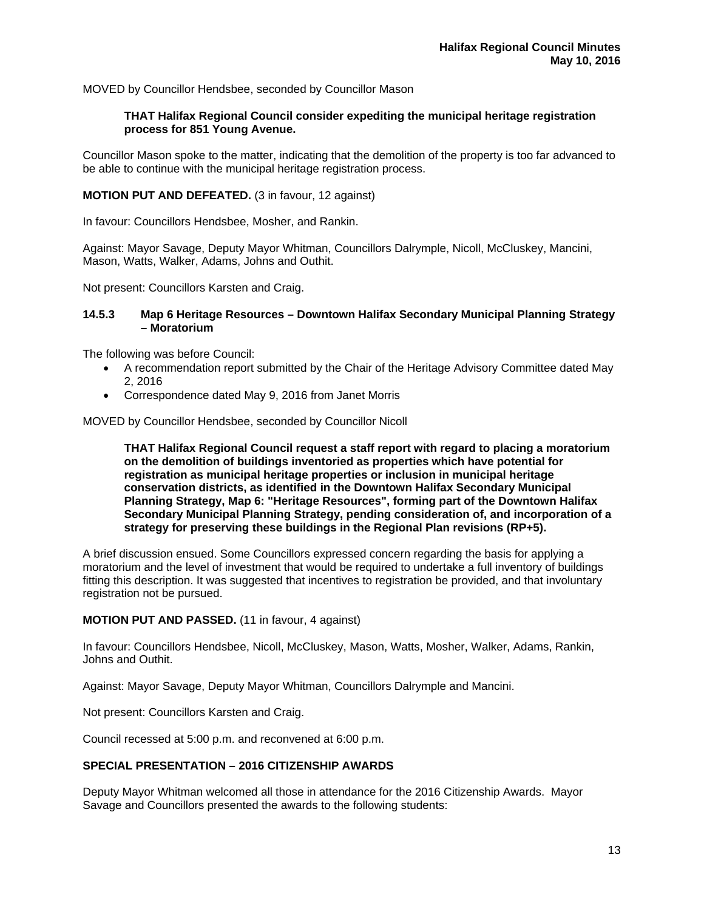MOVED by Councillor Hendsbee, seconded by Councillor Mason

## **THAT Halifax Regional Council consider expediting the municipal heritage registration process for 851 Young Avenue.**

Councillor Mason spoke to the matter, indicating that the demolition of the property is too far advanced to be able to continue with the municipal heritage registration process.

## **MOTION PUT AND DEFEATED.** (3 in favour, 12 against)

In favour: Councillors Hendsbee, Mosher, and Rankin.

Against: Mayor Savage, Deputy Mayor Whitman, Councillors Dalrymple, Nicoll, McCluskey, Mancini, Mason, Watts, Walker, Adams, Johns and Outhit.

Not present: Councillors Karsten and Craig.

#### **14.5.3 Map 6 Heritage Resources – Downtown Halifax Secondary Municipal Planning Strategy – Moratorium**

The following was before Council:

- A recommendation report submitted by the Chair of the Heritage Advisory Committee dated May 2, 2016
- Correspondence dated May 9, 2016 from Janet Morris

MOVED by Councillor Hendsbee, seconded by Councillor Nicoll

**THAT Halifax Regional Council request a staff report with regard to placing a moratorium on the demolition of buildings inventoried as properties which have potential for registration as municipal heritage properties or inclusion in municipal heritage conservation districts, as identified in the Downtown Halifax Secondary Municipal Planning Strategy, Map 6: "Heritage Resources", forming part of the Downtown Halifax Secondary Municipal Planning Strategy, pending consideration of, and incorporation of a strategy for preserving these buildings in the Regional Plan revisions (RP+5).** 

A brief discussion ensued. Some Councillors expressed concern regarding the basis for applying a moratorium and the level of investment that would be required to undertake a full inventory of buildings fitting this description. It was suggested that incentives to registration be provided, and that involuntary registration not be pursued.

**MOTION PUT AND PASSED.** (11 in favour, 4 against)

In favour: Councillors Hendsbee, Nicoll, McCluskey, Mason, Watts, Mosher, Walker, Adams, Rankin, Johns and Outhit.

Against: Mayor Savage, Deputy Mayor Whitman, Councillors Dalrymple and Mancini.

Not present: Councillors Karsten and Craig.

Council recessed at 5:00 p.m. and reconvened at 6:00 p.m.

# **SPECIAL PRESENTATION – 2016 CITIZENSHIP AWARDS**

Deputy Mayor Whitman welcomed all those in attendance for the 2016 Citizenship Awards. Mayor Savage and Councillors presented the awards to the following students: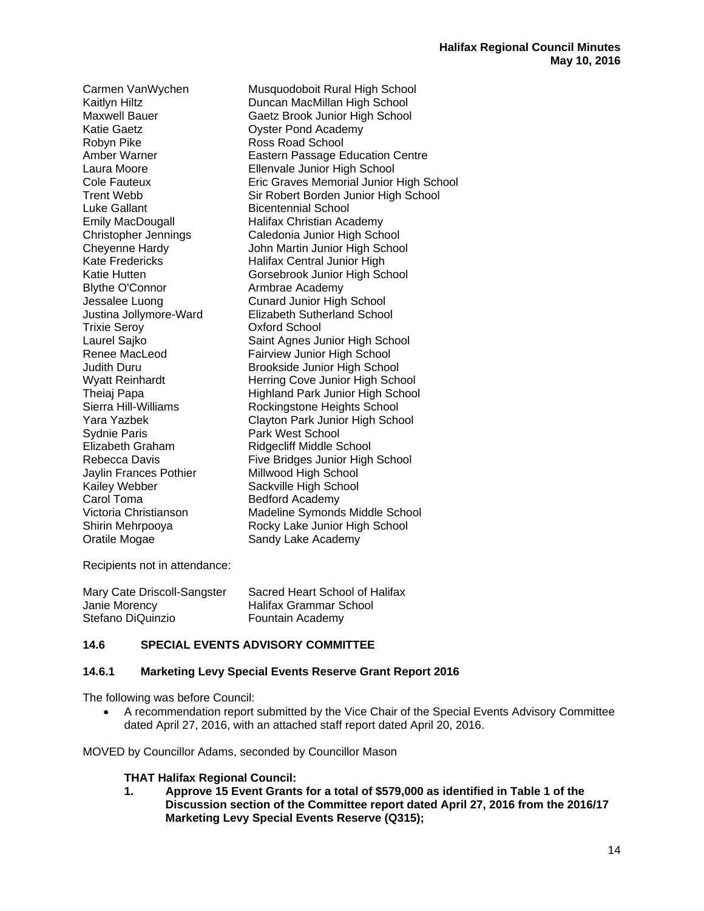Katie Gaetz **Canadiate Contract Contract Contract Contract Contract Contract Contract Contract Contract Contract Contract Contract Contract Contract Contract Contract Contract Contract Contract Contract Contract Contract C** Robyn Pike Ross Road School Emily MacDougall Halifax Christian Academy Kate Fredericks Halifax Central Junior High Blythe O'Connor **Armbrae Academy** Jessalee Luong Cunard Junior High School Trixie Seroy Oxford School Sydnie Paris **Paris Park West School** Elizabeth Graham Ridgecliff Middle School Jaylin Frances Pothier Millwood High School Kailey Webber Sackville High School Carol Toma Bedford Academy Oratile Mogae Sandy Lake Academy

Carmen VanWychen Musquodoboit Rural High School Kaitlyn Hiltz **Duncan MacMillan High School** Maxwell Bauer Gaetz Brook Junior High School Amber Warner **Eastern Passage Education Centre** Laura Moore Ellenvale Junior High School Cole Fauteux Eric Graves Memorial Junior High School Trent Webb Sir Robert Borden Junior High School<br>
Luke Gallant School Bicentennial School **Bicentennial School** Christopher Jennings Caledonia Junior High School John Martin Junior High School Katie Hutten Gorsebrook Junior High School Justina Jollymore-Ward Elizabeth Sutherland School Laurel Sajko<br>
Renee MacLeod
Saint Agnes Junior High School<br>
Fairview Junior High School Fairview Junior High School Judith Duru Brookside Junior High School Wyatt Reinhardt **Herring Cove Junior High School**<br>Theiaj Papa **Highland Park Junior High School** Theiaj Papa **Highland Park Junior High School**<br>Sierra Hill-Williams **Nockingstone Heights School** Rockingstone Heights School Yara Yazbek Clayton Park Junior High School Rebecca Davis Five Bridges Junior High School Victoria Christianson Madeline Symonds Middle School Shirin Mehrpooya Rocky Lake Junior High School

Recipients not in attendance:

| Mary Cate Driscoll-Sangster | Sacred Heart School of Halifax |
|-----------------------------|--------------------------------|
| Janie Morency               | Halifax Grammar School         |
| Stefano DiQuinzio           | Fountain Academy               |

# **14.6 SPECIAL EVENTS ADVISORY COMMITTEE**

## **14.6.1 Marketing Levy Special Events Reserve Grant Report 2016**

The following was before Council:

 A recommendation report submitted by the Vice Chair of the Special Events Advisory Committee dated April 27, 2016, with an attached staff report dated April 20, 2016.

MOVED by Councillor Adams, seconded by Councillor Mason

## **THAT Halifax Regional Council:**

**1. Approve 15 Event Grants for a total of \$579,000 as identified in Table 1 of the Discussion section of the Committee report dated April 27, 2016 from the 2016/17 Marketing Levy Special Events Reserve (Q315);**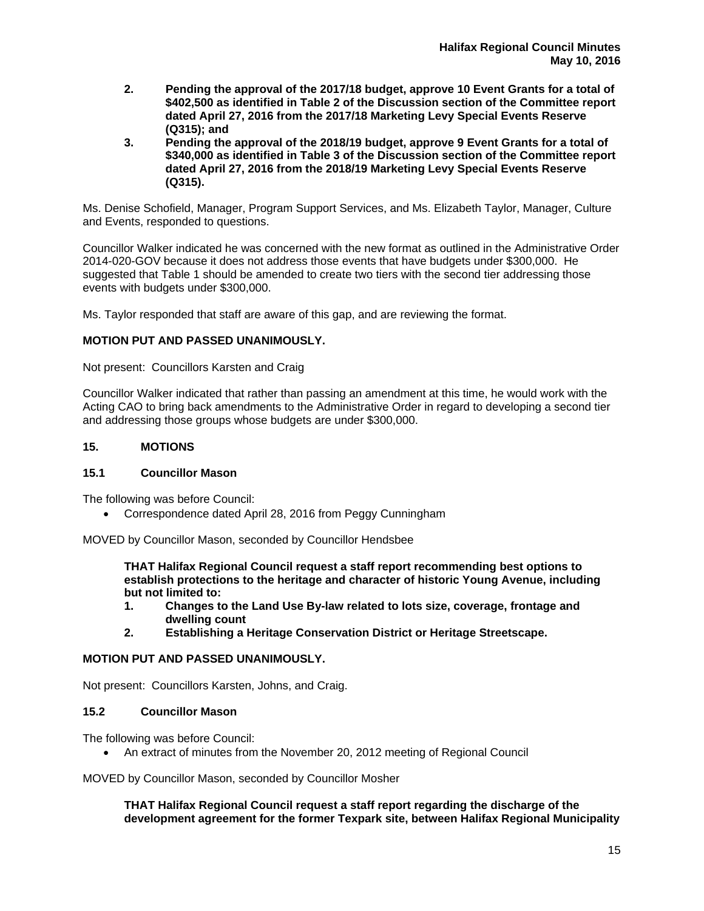- **2. Pending the approval of the 2017/18 budget, approve 10 Event Grants for a total of \$402,500 as identified in Table 2 of the Discussion section of the Committee report dated April 27, 2016 from the 2017/18 Marketing Levy Special Events Reserve (Q315); and**
- **3. Pending the approval of the 2018/19 budget, approve 9 Event Grants for a total of \$340,000 as identified in Table 3 of the Discussion section of the Committee report dated April 27, 2016 from the 2018/19 Marketing Levy Special Events Reserve (Q315).**

Ms. Denise Schofield, Manager, Program Support Services, and Ms. Elizabeth Taylor, Manager, Culture and Events, responded to questions.

Councillor Walker indicated he was concerned with the new format as outlined in the Administrative Order 2014-020-GOV because it does not address those events that have budgets under \$300,000. He suggested that Table 1 should be amended to create two tiers with the second tier addressing those events with budgets under \$300,000.

Ms. Taylor responded that staff are aware of this gap, and are reviewing the format.

# **MOTION PUT AND PASSED UNANIMOUSLY.**

Not present: Councillors Karsten and Craig

Councillor Walker indicated that rather than passing an amendment at this time, he would work with the Acting CAO to bring back amendments to the Administrative Order in regard to developing a second tier and addressing those groups whose budgets are under \$300,000.

## **15. MOTIONS**

## **15.1 Councillor Mason**

The following was before Council:

Correspondence dated April 28, 2016 from Peggy Cunningham

MOVED by Councillor Mason, seconded by Councillor Hendsbee

**THAT Halifax Regional Council request a staff report recommending best options to establish protections to the heritage and character of historic Young Avenue, including but not limited to:** 

- **1. Changes to the Land Use By-law related to lots size, coverage, frontage and dwelling count**<br>**2.** Establishing a l
- **2. Establishing a Heritage Conservation District or Heritage Streetscape.**

## **MOTION PUT AND PASSED UNANIMOUSLY.**

Not present: Councillors Karsten, Johns, and Craig.

## **15.2 Councillor Mason**

The following was before Council:

An extract of minutes from the November 20, 2012 meeting of Regional Council

MOVED by Councillor Mason, seconded by Councillor Mosher

**THAT Halifax Regional Council request a staff report regarding the discharge of the development agreement for the former Texpark site, between Halifax Regional Municipality**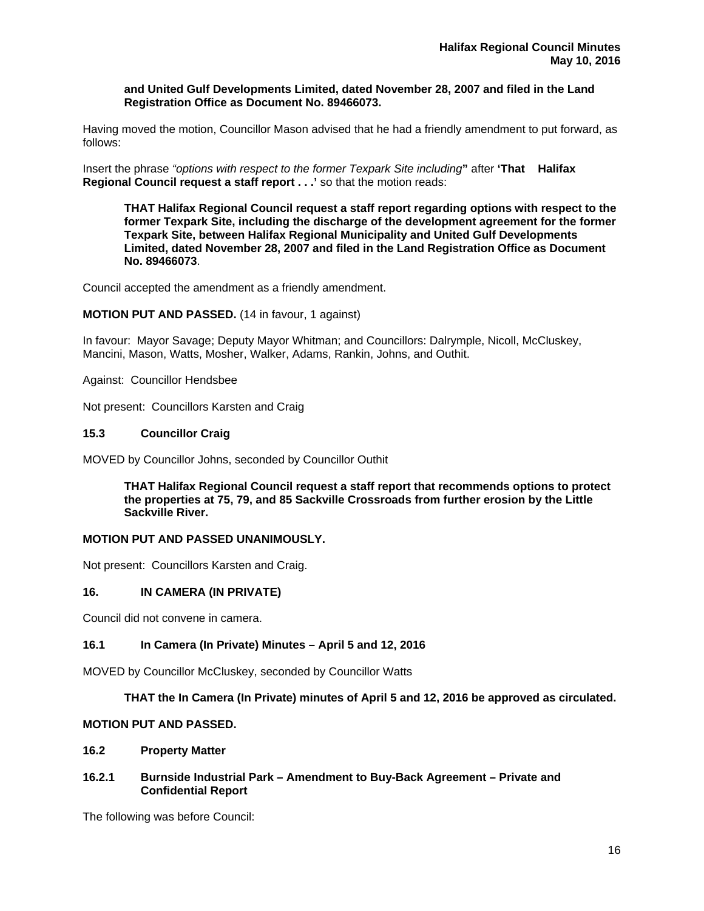**and United Gulf Developments Limited, dated November 28, 2007 and filed in the Land Registration Office as Document No. 89466073.** 

Having moved the motion, Councillor Mason advised that he had a friendly amendment to put forward, as follows:

Insert the phrase *"options with respect to the former Texpark Site including***"** after **'That Halifax Regional Council request a staff report . . .'** so that the motion reads:

 **THAT Halifax Regional Council request a staff report regarding options with respect to the former Texpark Site, including the discharge of the development agreement for the former Texpark Site, between Halifax Regional Municipality and United Gulf Developments Limited, dated November 28, 2007 and filed in the Land Registration Office as Document No. 89466073**.

Council accepted the amendment as a friendly amendment.

#### **MOTION PUT AND PASSED.** (14 in favour, 1 against)

In favour: Mayor Savage; Deputy Mayor Whitman; and Councillors: Dalrymple, Nicoll, McCluskey, Mancini, Mason, Watts, Mosher, Walker, Adams, Rankin, Johns, and Outhit.

Against: Councillor Hendsbee

Not present: Councillors Karsten and Craig

#### **15.3 Councillor Craig**

MOVED by Councillor Johns, seconded by Councillor Outhit

**THAT Halifax Regional Council request a staff report that recommends options to protect the properties at 75, 79, and 85 Sackville Crossroads from further erosion by the Little Sackville River.** 

#### **MOTION PUT AND PASSED UNANIMOUSLY.**

Not present: Councillors Karsten and Craig.

## **16. IN CAMERA (IN PRIVATE)**

Council did not convene in camera.

## **16.1 In Camera (In Private) Minutes – April 5 and 12, 2016**

MOVED by Councillor McCluskey, seconded by Councillor Watts

#### **THAT the In Camera (In Private) minutes of April 5 and 12, 2016 be approved as circulated.**

## **MOTION PUT AND PASSED.**

#### **16.2 Property Matter**

#### **16.2.1 Burnside Industrial Park – Amendment to Buy-Back Agreement – Private and Confidential Report**

The following was before Council: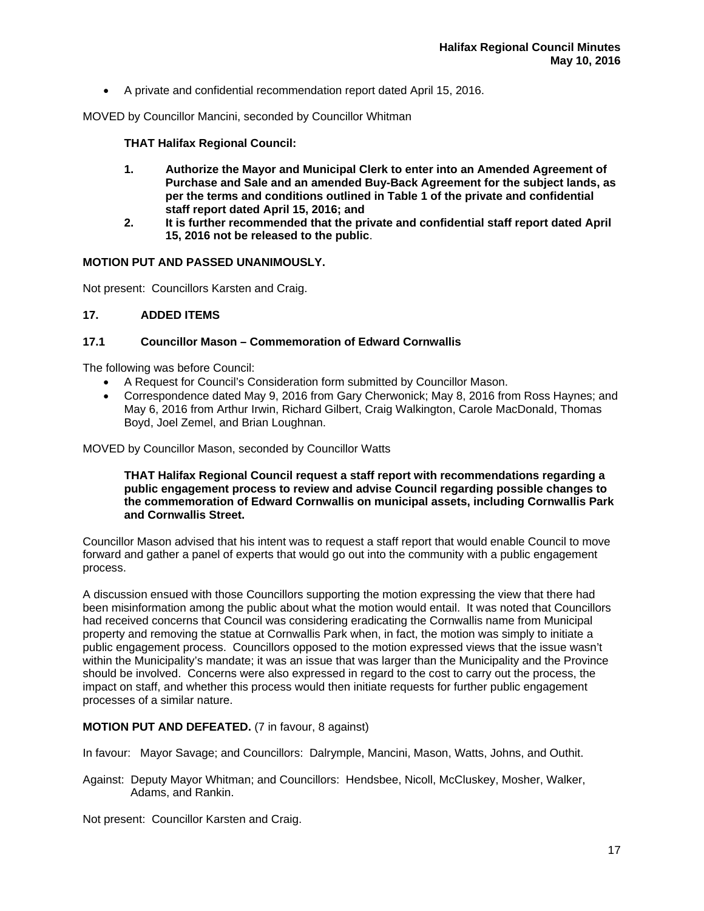A private and confidential recommendation report dated April 15, 2016.

MOVED by Councillor Mancini, seconded by Councillor Whitman

# **THAT Halifax Regional Council:**

- **1. Authorize the Mayor and Municipal Clerk to enter into an Amended Agreement of Purchase and Sale and an amended Buy-Back Agreement for the subject lands, as per the terms and conditions outlined in Table 1 of the private and confidential staff report dated April 15, 2016; and**
- **2. It is further recommended that the private and confidential staff report dated April 15, 2016 not be released to the public**.

# **MOTION PUT AND PASSED UNANIMOUSLY.**

Not present: Councillors Karsten and Craig.

# **17. ADDED ITEMS**

## **17.1 Councillor Mason – Commemoration of Edward Cornwallis**

The following was before Council:

- A Request for Council's Consideration form submitted by Councillor Mason.
- Correspondence dated May 9, 2016 from Gary Cherwonick; May 8, 2016 from Ross Haynes; and May 6, 2016 from Arthur Irwin, Richard Gilbert, Craig Walkington, Carole MacDonald, Thomas Boyd, Joel Zemel, and Brian Loughnan.

MOVED by Councillor Mason, seconded by Councillor Watts

**THAT Halifax Regional Council request a staff report with recommendations regarding a public engagement process to review and advise Council regarding possible changes to the commemoration of Edward Cornwallis on municipal assets, including Cornwallis Park and Cornwallis Street.** 

Councillor Mason advised that his intent was to request a staff report that would enable Council to move forward and gather a panel of experts that would go out into the community with a public engagement process.

A discussion ensued with those Councillors supporting the motion expressing the view that there had been misinformation among the public about what the motion would entail. It was noted that Councillors had received concerns that Council was considering eradicating the Cornwallis name from Municipal property and removing the statue at Cornwallis Park when, in fact, the motion was simply to initiate a public engagement process. Councillors opposed to the motion expressed views that the issue wasn't within the Municipality's mandate; it was an issue that was larger than the Municipality and the Province should be involved. Concerns were also expressed in regard to the cost to carry out the process, the impact on staff, and whether this process would then initiate requests for further public engagement processes of a similar nature.

## **MOTION PUT AND DEFEATED.** (7 in favour, 8 against)

In favour: Mayor Savage; and Councillors: Dalrymple, Mancini, Mason, Watts, Johns, and Outhit.

Against: Deputy Mayor Whitman; and Councillors: Hendsbee, Nicoll, McCluskey, Mosher, Walker, Adams, and Rankin.

Not present: Councillor Karsten and Craig.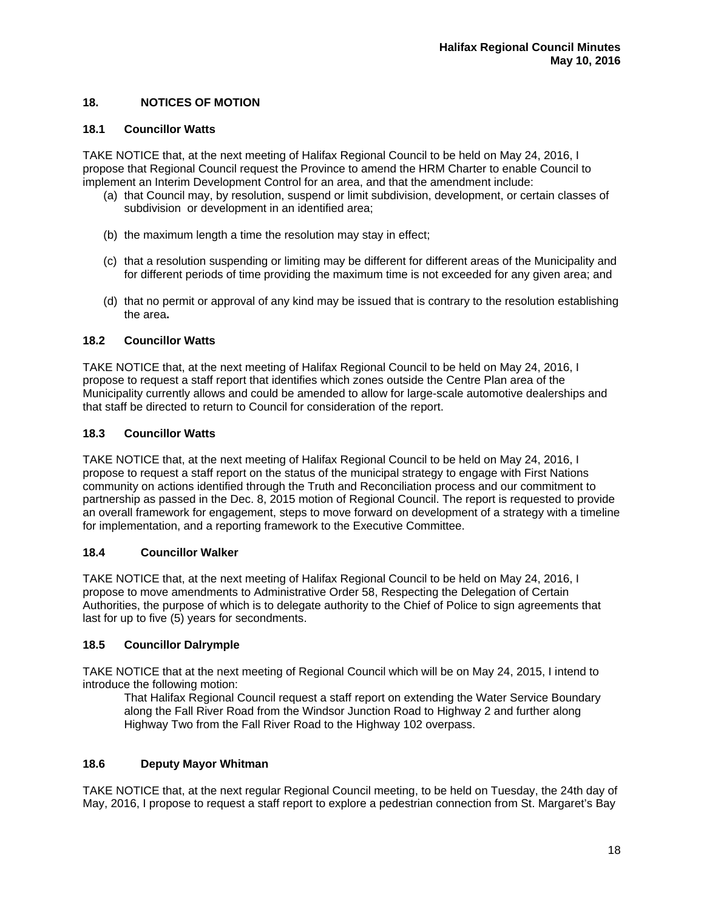# **18. NOTICES OF MOTION**

# **18.1 Councillor Watts**

TAKE NOTICE that, at the next meeting of Halifax Regional Council to be held on May 24, 2016, I propose that Regional Council request the Province to amend the HRM Charter to enable Council to implement an Interim Development Control for an area, and that the amendment include:

- (a) that Council may, by resolution, suspend or limit subdivision, development, or certain classes of subdivision or development in an identified area;
- (b) the maximum length a time the resolution may stay in effect;
- (c) that a resolution suspending or limiting may be different for different areas of the Municipality and for different periods of time providing the maximum time is not exceeded for any given area; and
- (d) that no permit or approval of any kind may be issued that is contrary to the resolution establishing the area**.**

# **18.2 Councillor Watts**

TAKE NOTICE that, at the next meeting of Halifax Regional Council to be held on May 24, 2016, I propose to request a staff report that identifies which zones outside the Centre Plan area of the Municipality currently allows and could be amended to allow for large-scale automotive dealerships and that staff be directed to return to Council for consideration of the report.

# **18.3 Councillor Watts**

TAKE NOTICE that, at the next meeting of Halifax Regional Council to be held on May 24, 2016, I propose to request a staff report on the status of the municipal strategy to engage with First Nations community on actions identified through the Truth and Reconciliation process and our commitment to partnership as passed in the Dec. 8, 2015 motion of Regional Council. The report is requested to provide an overall framework for engagement, steps to move forward on development of a strategy with a timeline for implementation, and a reporting framework to the Executive Committee.

# **18.4 Councillor Walker**

TAKE NOTICE that, at the next meeting of Halifax Regional Council to be held on May 24, 2016, I propose to move amendments to Administrative Order 58, Respecting the Delegation of Certain Authorities, the purpose of which is to delegate authority to the Chief of Police to sign agreements that last for up to five (5) years for secondments.

# **18.5 Councillor Dalrymple**

TAKE NOTICE that at the next meeting of Regional Council which will be on May 24, 2015, I intend to introduce the following motion:

 That Halifax Regional Council request a staff report on extending the Water Service Boundary along the Fall River Road from the Windsor Junction Road to Highway 2 and further along Highway Two from the Fall River Road to the Highway 102 overpass.

# **18.6 Deputy Mayor Whitman**

TAKE NOTICE that, at the next regular Regional Council meeting, to be held on Tuesday, the 24th day of May, 2016, I propose to request a staff report to explore a pedestrian connection from St. Margaret's Bay